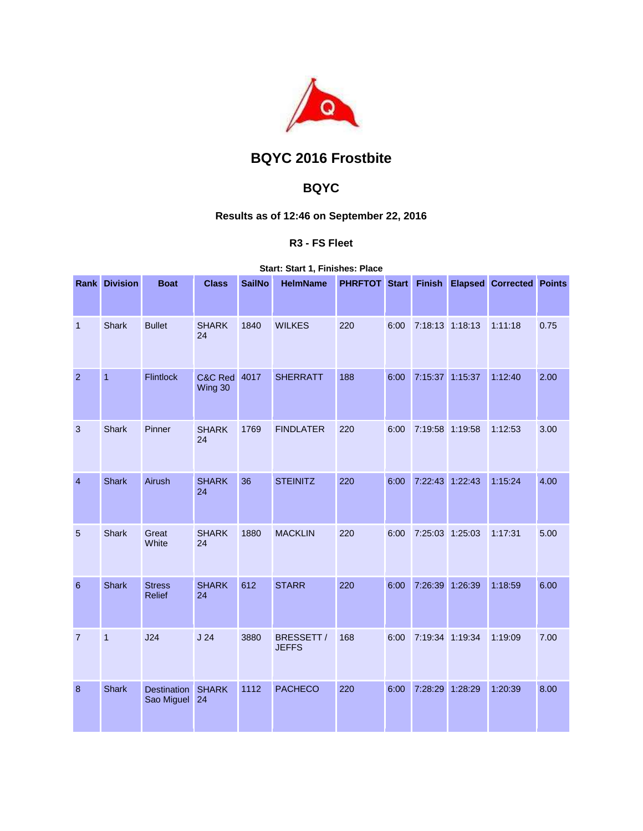

# **BQYC 2016 Frostbite**

## **BQYC**

### **Results as of 12:46 on September 22, 2016**

### **R3 - FS Fleet**

**Start: Start 1, Finishes: Place** 

|                 | <b>Rank Division</b> | <b>Boat</b>                      | <b>Class</b>       | <b>SailNo</b> | <b>HelmName</b>            |     |      |                 |         | PHRFTOT Start Finish Elapsed Corrected Points |      |
|-----------------|----------------------|----------------------------------|--------------------|---------------|----------------------------|-----|------|-----------------|---------|-----------------------------------------------|------|
| 1               | Shark                | <b>Bullet</b>                    | <b>SHARK</b><br>24 | 1840          | <b>WILKES</b>              | 220 | 6:00 | 7:18:13 1:18:13 |         | 1:11:18                                       | 0.75 |
| $\overline{2}$  | $\overline{1}$       | <b>Flintlock</b>                 | C&C Red<br>Wing 30 | 4017          | <b>SHERRATT</b>            | 188 | 6:00 | 7:15:37         | 1:15:37 | 1:12:40                                       | 2.00 |
| 3               | <b>Shark</b>         | Pinner                           | <b>SHARK</b><br>24 | 1769          | <b>FINDLATER</b>           | 220 | 6:00 | 7:19:58 1:19:58 |         | 1:12:53                                       | 3.00 |
| $\overline{4}$  | <b>Shark</b>         | Airush                           | <b>SHARK</b><br>24 | 36            | <b>STEINITZ</b>            | 220 | 6:00 | 7:22:43 1:22:43 |         | 1:15:24                                       | 4.00 |
| 5               | <b>Shark</b>         | Great<br>White                   | <b>SHARK</b><br>24 | 1880          | <b>MACKLIN</b>             | 220 | 6:00 | 7:25:03 1:25:03 |         | 1:17:31                                       | 5.00 |
| $6\phantom{1}6$ | <b>Shark</b>         | <b>Stress</b><br><b>Relief</b>   | <b>SHARK</b><br>24 | 612           | <b>STARR</b>               | 220 | 6:00 | 7:26:39         | 1:26:39 | 1:18:59                                       | 6.00 |
| $\overline{7}$  | $\overline{1}$       | J24                              | J <sub>24</sub>    | 3880          | BRESSETT /<br><b>JEFFS</b> | 168 | 6:00 | 7:19:34 1:19:34 |         | 1:19:09                                       | 7.00 |
| $\bf 8$         | <b>Shark</b>         | <b>Destination</b><br>Sao Miguel | <b>SHARK</b><br>24 | 1112          | <b>PACHECO</b>             | 220 | 6:00 | 7:28:29         | 1:28:29 | 1:20:39                                       | 8.00 |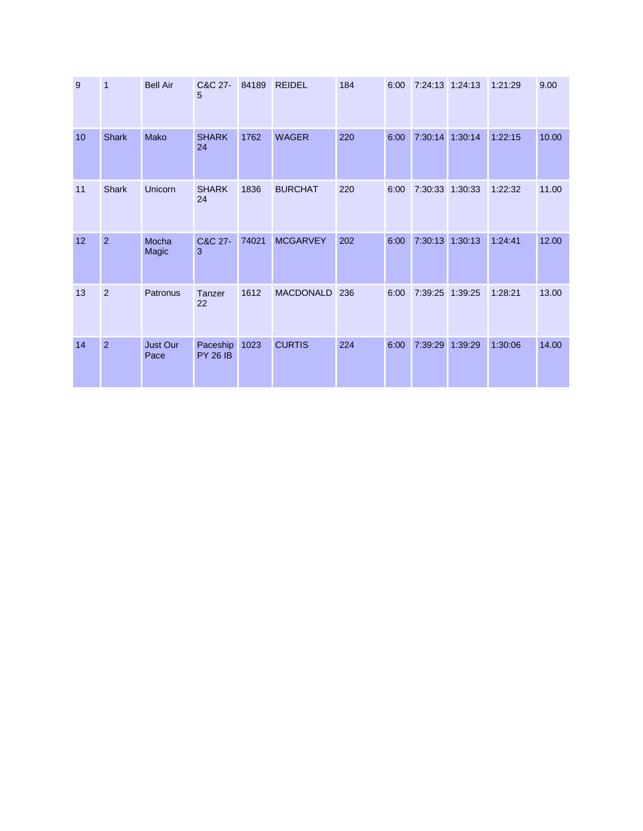| 9               | 1              | <b>Bell Air</b>  | C&C 27-<br>5                | 84189 | <b>REIDEL</b>    | 184 | 6:00 | 7:24:13 1:24:13 |                 | 1:21:29 | 9.00  |
|-----------------|----------------|------------------|-----------------------------|-------|------------------|-----|------|-----------------|-----------------|---------|-------|
| 10 <sup>1</sup> | <b>Shark</b>   | Mako             | <b>SHARK</b><br>24          | 1762  | <b>WAGER</b>     | 220 | 6:00 | 7:30:14         | 1:30:14         | 1:22:15 | 10.00 |
| 11              | <b>Shark</b>   | Unicorn          | <b>SHARK</b><br>24          | 1836  | <b>BURCHAT</b>   | 220 | 6:00 |                 | 7:30:33 1:30:33 | 1:22:32 | 11.00 |
| 12              | $\overline{2}$ | Mocha<br>Magic   | C&C 27-<br>3                | 74021 | <b>MCGARVEY</b>  | 202 | 6:00 | 7:30:13         | 1:30:13         | 1:24:41 | 12.00 |
| 13              | $\overline{2}$ | Patronus         | Tanzer<br>22                | 1612  | <b>MACDONALD</b> | 236 | 6:00 | 7:39:25         | 1:39:25         | 1:28:21 | 13.00 |
| 14              | $\overline{2}$ | Just Our<br>Pace | Paceship<br><b>PY 26 IB</b> | 1023  | <b>CURTIS</b>    | 224 | 6:00 | 7:39:29         | 1:39:29         | 1:30:06 | 14.00 |